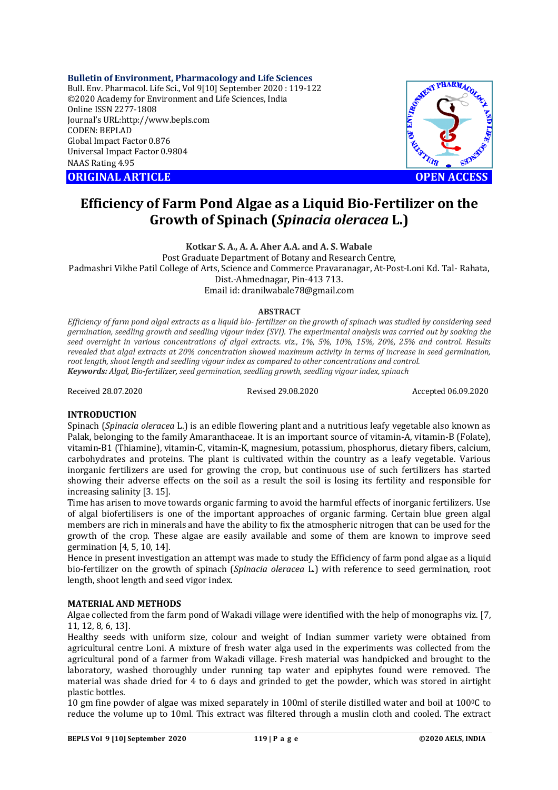## **Bulletin of Environment, Pharmacology and Life Sciences**

Bull. Env. Pharmacol. Life Sci., Vol 9[10] September 2020 : 119-122 ©2020 Academy for Environment and Life Sciences, India Online ISSN 2277-1808 Journal's URL:<http://www.bepls.com> CODEN: BEPLAD Global Impact Factor 0.876 Universal Impact Factor 0.9804 NAAS Rating 4.95

**CORIGINAL ARTICLE** And the contract of the contract of the contract of the contract of the contract of the contract of the contract of the contract of the contract of the contract of the contract of the contract of the co



# **Efficiency of Farm Pond Algae as a Liquid Bio-Fertilizer on the Growth of Spinach (***Spinacia oleracea* **L.)**

**Kotkar S. A., A. A. Aher A.A. and A. S. Wabale** Post Graduate Department of Botany and Research Centre, Padmashri Vikhe Patil College of Arts, Science and Commerce Pravaranagar, At-Post-Loni Kd. Tal- Rahata, Dist.-Ahmednagar, Pin-413 713. Email id: [dranilwabale78@gmail.com](mailto:dranilwabale78@gmail.com)

#### **ABSTRACT**

*Efficiency of farm pond algal extracts as a liquid bio- fertilizer on the growth of spinach was studied by considering seed germination, seedling growth and seedling vigour index (SVI). The experimental analysis was carried out by soaking the seed overnight in various concentrations of algal extracts. viz., 1%, 5%, 10%, 15%, 20%, 25% and control. Results revealed that algal extracts at 20% concentration showed maximum activity in terms of increase in seed germination, root length, shoot length and seedling vigour index as compared to other concentrations and control. Keywords: Algal, Bio-fertilizer, seed germination, seedling growth, seedling vigour index, spinach*

Received 28.07.2020 Revised 29.08.2020 Accepted 06.09.2020

## **INTRODUCTION**

Spinach (*Spinacia oleracea* L.) is an edible flowering plant and a nutritious leafy vegetable also known as Palak, belonging to the family Amaranthaceae. It is an important source of vitamin-A, vitamin-B (Folate), vitamin-B1 (Thiamine), vitamin-C, vitamin-K, magnesium, potassium, phosphorus, dietary fibers, calcium, carbohydrates and proteins. The plant is cultivated within the country as a leafy vegetable. Various inorganic fertilizers are used for growing the crop, but continuous use of such fertilizers has started showing their adverse effects on the soil as a result the soil is losing its fertility and responsible for increasing salinity [3. 15].

Time has arisen to move towards organic farming to avoid the harmful effects of inorganic fertilizers. Use of algal biofertilisers is one of the important approaches of organic farming. Certain blue green algal members are rich in minerals and have the ability to fix the atmospheric nitrogen that can be used for the growth of the crop. These algae are easily available and some of them are known to improve seed germination [4, 5, 10, 14].

Hence in present investigation an attempt was made to study the Efficiency of farm pond algae as a liquid bio-fertilizer on the growth of spinach (*Spinacia oleracea* L.) with reference to seed germination, root length, shoot length and seed vigor index.

## **MATERIAL AND METHODS**

Algae collected from the farm pond of Wakadi village were identified with the help of monographs viz. [7, 11, 12, 8, 6, 13].

Healthy seeds with uniform size, colour and weight of Indian summer variety were obtained from agricultural centre Loni. A mixture of fresh water alga used in the experiments was collected from the agricultural pond of a farmer from Wakadi village. Fresh material was handpicked and brought to the laboratory, washed thoroughly under running tap water and epiphytes found were removed. The material was shade dried for 4 to 6 days and grinded to get the powder, which was stored in airtight plastic bottles.

10 gm fine powder of algae was mixed separately in 100ml of sterile distilled water and boil at  $100\degree$ C to reduce the volume up to 10ml. This extract was filtered through a muslin cloth and cooled. The extract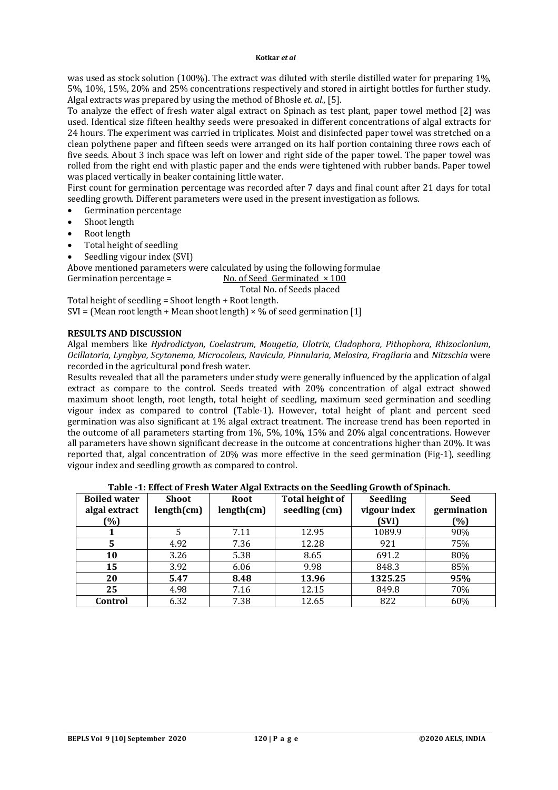#### **Kotkar** *et al*

was used as stock solution (100%). The extract was diluted with sterile distilled water for preparing 1%, 5%, 10%, 15%, 20% and 25% concentrations respectively and stored in airtight bottles for further study. Algal extracts was prepared by using the method of Bhosle *et. al.,* [5].

To analyze the effect of fresh water algal extract on Spinach as test plant, paper towel method [2] was used. Identical size fifteen healthy seeds were presoaked in different concentrations of algal extracts for 24 hours. The experiment was carried in triplicates. Moist and disinfected paper towel was stretched on a clean polythene paper and fifteen seeds were arranged on its half portion containing three rows each of five seeds. About 3 inch space was left on lower and right side of the paper towel. The paper towel was rolled from the right end with plastic paper and the ends were tightened with rubber bands. Paper towel was placed vertically in beaker containing little water.

First count for germination percentage was recorded after 7 days and final count after 21 days for total seedling growth. Different parameters were used in the present investigation as follows.

- Germination percentage
- Shoot length
- Root length
- Total height of seedling
- Seedling vigour index (SVI)

Above mentioned parameters were calculated by using the following formulae

Germination percentage =  $\qquad$  No. of Seed Germinated  $\times$  100

Total No. of Seeds placed

Total height of seedling = Shoot length + Root length. SVI = (Mean root length + Mean shoot length)  $\times$  % of seed germination [1]

# **RESULTS AND DISCUSSION**

Algal members like *Hydrodictyon, Coelastrum, Mougetia, Ulotrix, Cladophora, Pithophora, Rhizoclonium, Ocillatoria, Lyngbya, Scytonema, Microcoleus, Navicula, Pinnularia, Melosira, Fragilaria* and *Nitzschia* were recorded in the agricultural pond fresh water.

Results revealed that all the parameters under study were generally influenced by the application of algal extract as compare to the control. Seeds treated with 20% concentration of algal extract showed maximum shoot length, root length, total height of seedling, maximum seed germination and seedling vigour index as compared to control (Table-1). However, total height of plant and percent seed germination was also significant at 1% algal extract treatment. The increase trend has been reported in the outcome of all parameters starting from 1%, 5%, 10%, 15% and 20% algal concentrations. However all parameters have shown significant decrease in the outcome at concentrations higher than 20%. It was reported that, algal concentration of 20% was more effective in the seed germination (Fig-1), seedling vigour index and seedling growth as compared to control.

| <b>Boiled water</b> | <b>Shoot</b> | ້<br>Root  | <b>Total height of</b> | ້<br><b>Seedling</b> | <b>Seed</b> |
|---------------------|--------------|------------|------------------------|----------------------|-------------|
| algal extract       | length(cm)   | length(cm) | seedling (cm)          | vigour index         | germination |
| (%)                 |              |            |                        | (SVI)                | (%)         |
| 1                   |              | 7.11       | 12.95                  | 1089.9               | 90%         |
| 5                   | 4.92         | 7.36       | 12.28                  | 921                  | 75%         |
| 10                  | 3.26         | 5.38       | 8.65                   | 691.2                | 80%         |
| 15                  | 3.92         | 6.06       | 9.98                   | 848.3                | 85%         |
| 20                  | 5.47         | 8.48       | 13.96                  | 1325.25              | 95%         |
| 25                  | 4.98         | 7.16       | 12.15                  | 849.8                | 70%         |
| Control             | 6.32         | 7.38       | 12.65                  | 822                  | 60%         |

## **Table -1: Effect of Fresh Water Algal Extracts on the Seedling Growth of Spinach.**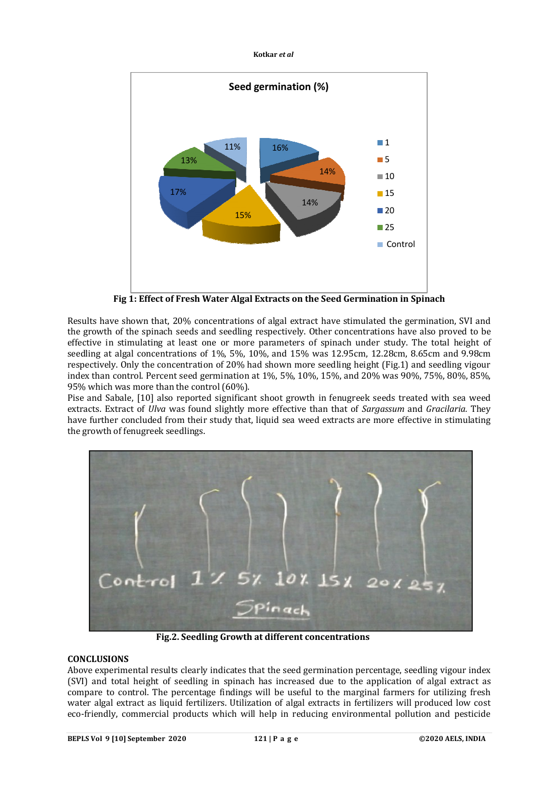**Kotkar** *et al*



**Fig 1: Effect of Fresh Water Algal Extracts on the Seed Germination in Spinach**

Results have shown that, 20% concentrations of algal extract have stimulated the germination, SVI and the growth of the spinach seeds and seedling respectively. Other concentrations have also proved to be effective in stimulating at least one or more parameters of spinach under study. The total height of seedling at algal concentrations of 1%, 5%, 10%, and 15% was 12.95cm, 12.28cm, 8.65cm and 9.98cm respectively. Only the concentration of 20% had shown more seedling height (Fig.1) and seedling vigour index than control. Percent seed germination at 1%, 5%, 10%, 15%, and 20% was 90%, 75%, 80%, 85%, 95% which was more than the control (60%).

Pise and Sabale, [10] also reported significant shoot growth in fenugreek seeds treated with sea weed extracts. Extract of *Ulva* was found slightly more effective than that of *Sargassum* and *Gracilaria.* They have further concluded from their study that, liquid sea weed extracts are more effective in stimulating the growth of fenugreek seedlings.



**Fig.2. Seedling Growth at different concentrations**

# **CONCLUSIONS**

Above experimental results clearly indicates that the seed germination percentage, seedling vigour index (SVI) and total height of seedling in spinach has increased due to the application of algal extract as compare to control. The percentage findings will be useful to the marginal farmers for utilizing fresh water algal extract as liquid fertilizers. Utilization of algal extracts in fertilizers will produced low cost eco-friendly, commercial products which will help in reducing environmental pollution and pesticide